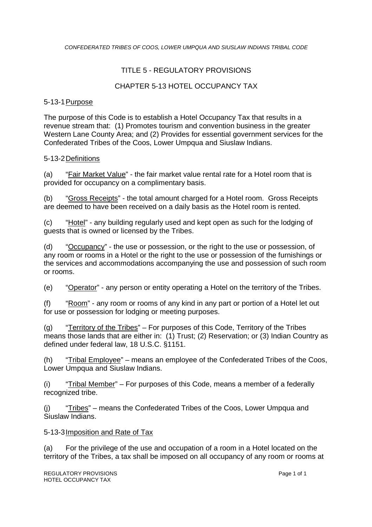*CONFEDERATED TRIBES OF COOS, LOWER UMPQUA AND SIUSLAW INDIANS TRIBAL CODE*

# TITLE 5 - REGULATORY PROVISIONS

## CHAPTER 5-13 HOTEL OCCUPANCY TAX

### 5-13-1Purpose

The purpose of this Code is to establish a Hotel Occupancy Tax that results in a revenue stream that: (1) Promotes tourism and convention business in the greater Western Lane County Area; and (2) Provides for essential government services for the Confederated Tribes of the Coos, Lower Umpqua and Siuslaw Indians.

### 5-13-2Definitions

(a) "Fair Market Value" - the fair market value rental rate for a Hotel room that is provided for occupancy on a complimentary basis.

(b) "Gross Receipts" - the total amount charged for a Hotel room. Gross Receipts are deemed to have been received on a daily basis as the Hotel room is rented.

(c) "Hotel" - any building regularly used and kept open as such for the lodging of guests that is owned or licensed by the Tribes.

(d) "Occupancy" - the use or possession, or the right to the use or possession, of any room or rooms in a Hotel or the right to the use or possession of the furnishings or the services and accommodations accompanying the use and possession of such room or rooms.

(e) "Operator" - any person or entity operating a Hotel on the territory of the Tribes.

(f) "Room" - any room or rooms of any kind in any part or portion of a Hotel let out for use or possession for lodging or meeting purposes.

(g) "Territory of the Tribes" – For purposes of this Code, Territory of the Tribes means those lands that are either in: (1) Trust; (2) Reservation; or (3) Indian Country as defined under federal law, 18 U.S.C. §1151.

(h) "Tribal Employee" – means an employee of the Confederated Tribes of the Coos, Lower Umpqua and Siuslaw Indians.

(i) "Tribal Member" – For purposes of this Code, means a member of a federally recognized tribe.

(j) "Tribes" – means the Confederated Tribes of the Coos, Lower Umpqua and Siuslaw Indians.

#### 5-13-3Imposition and Rate of Tax

(a) For the privilege of the use and occupation of a room in a Hotel located on the territory of the Tribes, a tax shall be imposed on all occupancy of any room or rooms at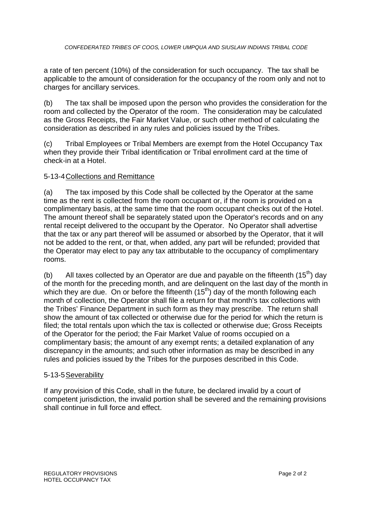a rate of ten percent (10%) of the consideration for such occupancy. The tax shall be applicable to the amount of consideration for the occupancy of the room only and not to charges for ancillary services.

(b) The tax shall be imposed upon the person who provides the consideration for the room and collected by the Operator of the room. The consideration may be calculated as the Gross Receipts, the Fair Market Value, or such other method of calculating the consideration as described in any rules and policies issued by the Tribes.

(c) Tribal Employees or Tribal Members are exempt from the Hotel Occupancy Tax when they provide their Tribal identification or Tribal enrollment card at the time of check-in at a Hotel.

#### 5-13-4Collections and Remittance

(a) The tax imposed by this Code shall be collected by the Operator at the same time as the rent is collected from the room occupant or, if the room is provided on a complimentary basis, at the same time that the room occupant checks out of the Hotel. The amount thereof shall be separately stated upon the Operator's records and on any rental receipt delivered to the occupant by the Operator. No Operator shall advertise that the tax or any part thereof will be assumed or absorbed by the Operator, that it will not be added to the rent, or that, when added, any part will be refunded; provided that the Operator may elect to pay any tax attributable to the occupancy of complimentary rooms.

(b) All taxes collected by an Operator are due and payable on the fifteenth  $(15<sup>th</sup>)$  day of the month for the preceding month, and are delinquent on the last day of the month in which they are due. On or before the fifteenth  $(15<sup>th</sup>)$  day of the month following each month of collection, the Operator shall file a return for that month's tax collections with the Tribes' Finance Department in such form as they may prescribe. The return shall show the amount of tax collected or otherwise due for the period for which the return is filed; the total rentals upon which the tax is collected or otherwise due; Gross Receipts of the Operator for the period; the Fair Market Value of rooms occupied on a complimentary basis; the amount of any exempt rents; a detailed explanation of any discrepancy in the amounts; and such other information as may be described in any rules and policies issued by the Tribes for the purposes described in this Code.

#### 5-13-5Severability

If any provision of this Code, shall in the future, be declared invalid by a court of competent jurisdiction, the invalid portion shall be severed and the remaining provisions shall continue in full force and effect.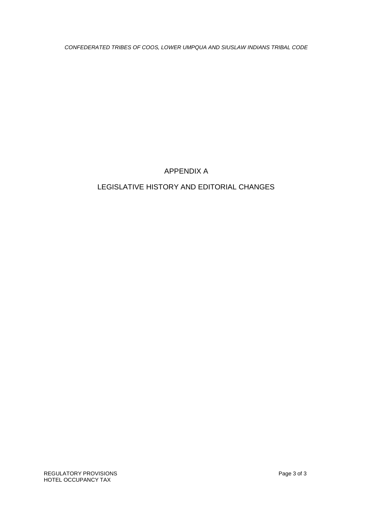*CONFEDERATED TRIBES OF COOS, LOWER UMPQUA AND SIUSLAW INDIANS TRIBAL CODE*

# APPENDIX A

# LEGISLATIVE HISTORY AND EDITORIAL CHANGES

REGULATORY PROVISIONS **Page 3 of 3** HOTEL OCCUPANCY TAX